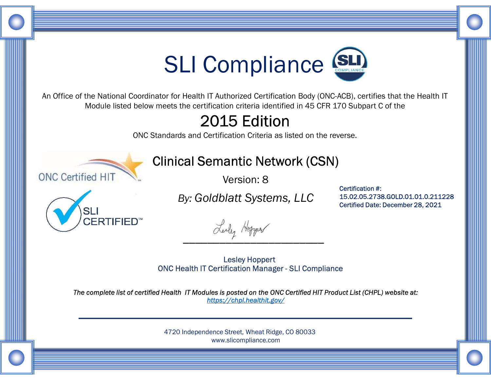

An Office of the National Coordinator for Health IT Authorized Certification Body (ONC-ACB), certifies that the Health IT Module listed below meets the certification criteria identified in 45 CFR 170 Subpart C of the

## 2015 Edition

ONC Standards and Certification Criteria as listed on the reverse.



## Clinical Semantic Network (CSN)

Version: 8



By: Goldblatt Systems, LLC

Lealy Hopper

Certification #: 15.02.05.2738.GOLD.01.01.0.211228 Certified Date: December 28, 2021

The complete list of certified Health IT Modules is posted on the ONC Certified HIT Product List (CHPL) website at:<br>https://chpl.healthit.gov/ Lesley Hoppert<br>
The Medith IT Compliance Correction of the Exercise.<br>
Contribution Criteria as listed on the reverse.<br>
2015 Edition<br>
Version: 8<br>
By: Goldblatt Systems, LLC<br>
Corrective Date: December 28, 2021<br>
Corrective Da

> 4720 Independence Street, Wheat Ridge, CO 80033 www.slicompliance.com